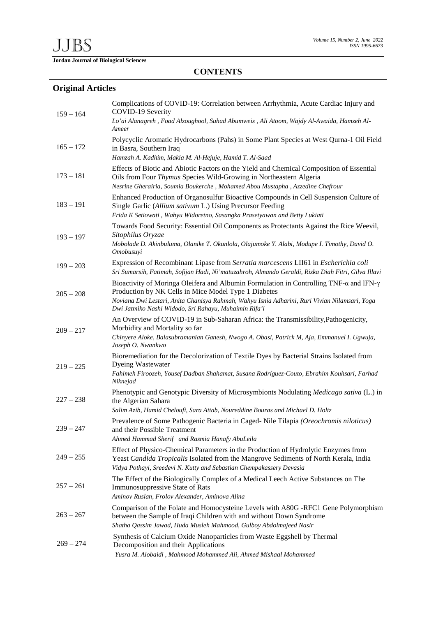**Jordan Journal of Biological Sciences** 

## **CONTENTS**

## **Original Articles**

| $159 - 164$ | Complications of COVID-19: Correlation between Arrhythmia, Acute Cardiac Injury and<br>COVID-19 Severity<br>Lo'ai Alanagreh, Foad Alzoughool, Suhad Abumweis, Ali Atoom, Wajdy Al-Awaida, Hamzeh Al-<br>Ameer                                                                                                            |
|-------------|--------------------------------------------------------------------------------------------------------------------------------------------------------------------------------------------------------------------------------------------------------------------------------------------------------------------------|
| $165 - 172$ | Polycyclic Aromatic Hydrocarbons (Pahs) in Some Plant Species at West Qurna-1 Oil Field<br>in Basra, Southern Iraq<br>Hamzah A. Kadhim, Makia M. Al-Hejuje, Hamid T. Al-Saad                                                                                                                                             |
| $173 - 181$ | Effects of Biotic and Abiotic Factors on the Yield and Chemical Composition of Essential<br>Oils from Four Thymus Species Wild-Growing in Northeastern Algeria<br>Nesrine Gherairia, Soumia Boukerche, Mohamed Abou Mustapha, Azzedine Chefrour                                                                          |
| $183 - 191$ | Enhanced Production of Organosulfur Bioactive Compounds in Cell Suspension Culture of<br>Single Garlic (Allium sativum L.) Using Precursor Feeding<br>Frida K Setiowati, Wahyu Widoretno, Sasangka Prasetyawan and Betty Lukiati                                                                                         |
| $193 - 197$ | Towards Food Security: Essential Oil Components as Protectants Against the Rice Weevil,<br>Sitophilus Oryzae<br>Mobolade D. Akinbuluma, Olanike T. Okunlola, Olajumoke Y. Alabi, Modupe I. Timothy, David O.<br>Omobusuyi                                                                                                |
| $199 - 203$ | Expression of Recombinant Lipase from Serratia marcescens LII61 in Escherichia coli<br>Sri Sumarsih, Fatimah, Sofijan Hadi, Ni'matuzahroh, Almando Geraldi, Rizka Diah Fitri, Gilva Illavi                                                                                                                               |
| $205 - 208$ | Bioactivity of Moringa Oleifera and Albumin Formulation in Controlling TNF- $\alpha$ and IFN- $\gamma$<br>Production by NK Cells in Mice Model Type 1 Diabetes<br>Noviana Dwi Lestari, Anita Chanisya Rahmah, Wahyu Isnia Adharini, Ruri Vivian Nilamsari, Yoga<br>Dwi Jatmiko Nashi Widodo, Sri Rahayu, Muhaimin Rifa'i |
| $209 - 217$ | An Overview of COVID-19 in Sub-Saharan Africa: the Transmissibility, Pathogenicity,<br>Morbidity and Mortality so far<br>Chinyere Aloke, Balasubramanian Ganesh, Nwogo A. Obasi, Patrick M, Aja, Emmanuel I. Ugwuja,<br>Joseph O. Nwankwo                                                                                |
| $219 - 225$ | Bioremediation for the Decolorization of Textile Dyes by Bacterial Strains Isolated from<br><b>Dyeing Wastewater</b><br>Fahimeh Firoozeh, Yousef Dadban Shahamat, Susana Rodríguez-Couto, Ebrahim Kouhsari, Farhad<br>Niknejad                                                                                           |
| $227 - 238$ | Phenotypic and Genotypic Diversity of Microsymbionts Nodulating Medicago sativa (L.) in<br>the Algerian Sahara<br>Salim Azib, Hamid Cheloufi, Sara Attab, Noureddine Bouras and Michael D. Holtz                                                                                                                         |
| $239 - 247$ | Prevalence of Some Pathogenic Bacteria in Caged-Nile Tilapia (Oreochromis niloticus)<br>and their Possible Treatment<br>Ahmed Hammad Sherif and Rasmia Hanafy AbuLeila                                                                                                                                                   |
| $249 - 255$ | Effect of Physico-Chemical Parameters in the Production of Hydrolytic Enzymes from<br>Yeast Candida Tropicalis Isolated from the Mangrove Sediments of North Kerala, India<br>Vidya Pothayi, Sreedevi N. Kutty and Sebastian Chempakassery Devasia                                                                       |
| $257 - 261$ | The Effect of the Biologically Complex of a Medical Leech Active Substances on The<br>Immunosuppressive State of Rats<br>Aminov Ruslan, Frolov Alexander, Aminova Alina                                                                                                                                                  |
| $263 - 267$ | Comparison of the Folate and Homocysteine Levels with A80G -RFC1 Gene Polymorphism<br>between the Sample of Iraqi Children with and without Down Syndrome<br>Shatha Qassim Jawad, Huda Musleh Mahmood, Gulboy Abdolmajeed Nasir                                                                                          |
| $269 - 274$ | Synthesis of Calcium Oxide Nanoparticles from Waste Eggshell by Thermal<br>Decomposition and their Applications<br>Yusra M. Alobaidi, Mahmood Mohammed Ali, Ahmed Mishaal Mohammed                                                                                                                                       |